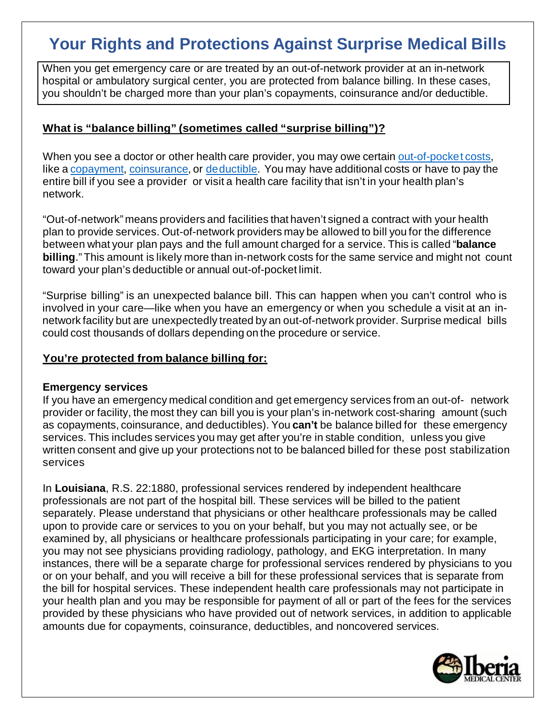# **Your Rights and Protections Against Surprise Medical Bills**

When you get emergency care or are treated by an out-of-network provider at an in-network hospital or ambulatory surgical center, you are protected from balance billing. In these cases, you shouldn't be charged more than your plan's copayments, coinsurance and/or deductible.

#### **What is "balance billing" (sometimes called "surprise billing")?**

When you see a doctor or other health care provider, you may owe certain out-of-pocket costs, like a copayment, coinsurance, or deductible. You may have additional costs or have to pay the entire bill if you see a provider or visit a health care facility that isn't in your health plan's network.

"Out-of-network" means providers and facilities that haven't signed a contract with your health plan to provide services. Out-of-network providers may be allowed to bill you for the difference between what your plan pays and the full amount charged for a service. This is called "**balance billing**."This amount is likely more than in-network costs for the same service and might not count toward your plan's deductible or annual out-of-pocket limit.

"Surprise billing" is an unexpected balance bill. This can happen when you can't control who is involved in your care—like when you have an emergency or when you schedule a visit at an innetwork facility but are unexpectedly treated by an out-of-network provider. Surprise medical bills could cost thousands of dollars depending on the procedure or service.

### **You're protected from balance billing for:**

#### **Emergency services**

If you have an emergency medical condition and get emergency services from an out-of- network provider or facility, the most they can bill you is your plan's in-network cost-sharing amount (such as copayments, coinsurance, and deductibles). You **can't** be balance billed for these emergency services. This includes services you may get after you're in stable condition, unless you give written consent and give up your protections not to be balanced billed for these post stabilization services

In **Louisiana**, R.S. 22:1880, professional services rendered by independent healthcare professionals are not part of the hospital bill. These services will be billed to the patient separately. Please understand that physicians or other healthcare professionals may be called upon to provide care or services to you on your behalf, but you may not actually see, or be examined by, all physicians or healthcare professionals participating in your care; for example, you may not see physicians providing radiology, pathology, and EKG interpretation. In many instances, there will be a separate charge for professional services rendered by physicians to you or on your behalf, and you will receive a bill for these professional services that is separate from the bill for hospital services. These independent health care professionals may not participate in your health plan and you may be responsible for payment of all or part of the fees for the services provided by these physicians who have provided out of network services, in addition to applicable amounts due for copayments, coinsurance, deductibles, and noncovered services.